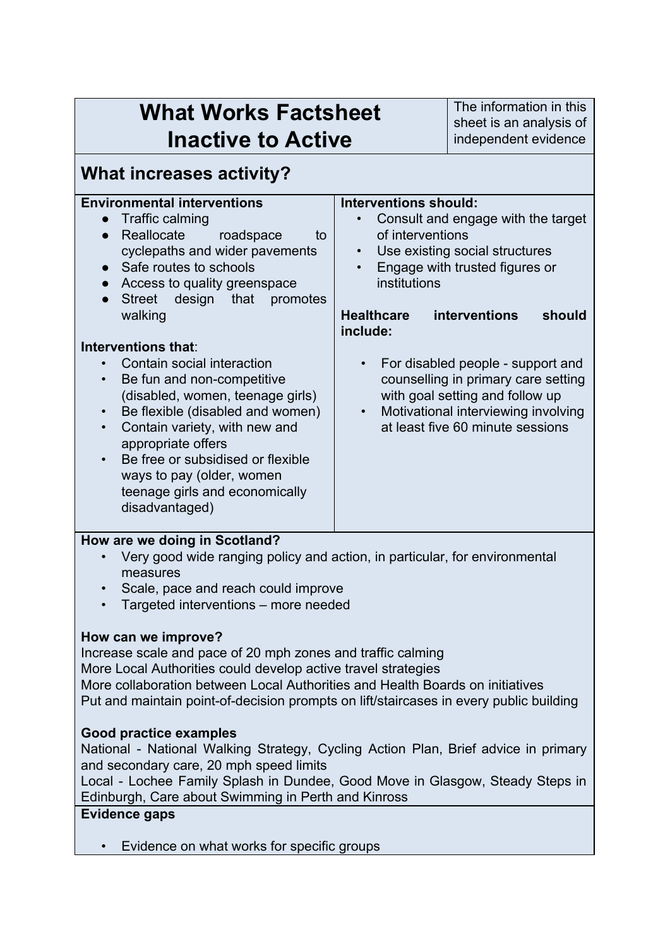| <b>What Works Factsheet</b><br><b>Inactive to Active</b>                                                                                                                                                                                                                                                                                                                                                                                                                                                                                                                                                                                 |                                                                                                                                          | The information in this<br>sheet is an analysis of<br>independent evidence                                                                                                                                                                                                                                                  |  |
|------------------------------------------------------------------------------------------------------------------------------------------------------------------------------------------------------------------------------------------------------------------------------------------------------------------------------------------------------------------------------------------------------------------------------------------------------------------------------------------------------------------------------------------------------------------------------------------------------------------------------------------|------------------------------------------------------------------------------------------------------------------------------------------|-----------------------------------------------------------------------------------------------------------------------------------------------------------------------------------------------------------------------------------------------------------------------------------------------------------------------------|--|
| <b>What increases activity?</b>                                                                                                                                                                                                                                                                                                                                                                                                                                                                                                                                                                                                          |                                                                                                                                          |                                                                                                                                                                                                                                                                                                                             |  |
| <b>Environmental interventions</b><br>Traffic calming<br>Reallocate<br>roadspace<br>to<br>$\bullet$<br>cyclepaths and wider pavements<br>Safe routes to schools<br>Access to quality greenspace<br>Street design that<br>promotes<br>walking<br>Interventions that:<br>Contain social interaction<br>Be fun and non-competitive<br>(disabled, women, teenage girls)<br>Be flexible (disabled and women)<br>Contain variety, with new and<br>appropriate offers<br>Be free or subsidised or flexible<br>ways to pay (older, women<br>teenage girls and economically<br>disadvantaged)                                                     | <b>Interventions should:</b><br>of interventions<br>$\bullet$<br>institutions<br><b>Healthcare</b><br>include:<br>$\bullet$<br>$\bullet$ | Consult and engage with the target<br>Use existing social structures<br>Engage with trusted figures or<br>interventions<br>should<br>For disabled people - support and<br>counselling in primary care setting<br>with goal setting and follow up<br>Motivational interviewing involving<br>at least five 60 minute sessions |  |
| How are we doing in Scotland?<br>Very good wide ranging policy and action, in particular, for environmental<br>measures<br>Scale, pace and reach could improve<br>Targeted interventions – more needed                                                                                                                                                                                                                                                                                                                                                                                                                                   |                                                                                                                                          |                                                                                                                                                                                                                                                                                                                             |  |
| How can we improve?<br>Increase scale and pace of 20 mph zones and traffic calming<br>More Local Authorities could develop active travel strategies<br>More collaboration between Local Authorities and Health Boards on initiatives<br>Put and maintain point-of-decision prompts on lift/staircases in every public building<br><b>Good practice examples</b><br>National - National Walking Strategy, Cycling Action Plan, Brief advice in primary<br>and secondary care, 20 mph speed limits<br>Local - Lochee Family Splash in Dundee, Good Move in Glasgow, Steady Steps in<br>Edinburgh, Care about Swimming in Perth and Kinross |                                                                                                                                          |                                                                                                                                                                                                                                                                                                                             |  |
| <b>Evidence gaps</b><br>Evidence on what works for specific groups                                                                                                                                                                                                                                                                                                                                                                                                                                                                                                                                                                       |                                                                                                                                          |                                                                                                                                                                                                                                                                                                                             |  |